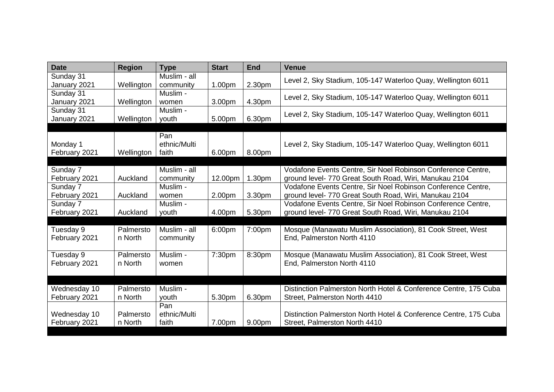| <b>Date</b>                   | <b>Region</b>        | <b>Type</b>                  | <b>Start</b> | <b>End</b> | <b>Venue</b>                                                                                                           |
|-------------------------------|----------------------|------------------------------|--------------|------------|------------------------------------------------------------------------------------------------------------------------|
| Sunday 31<br>January 2021     | Wellington           | Muslim - all<br>community    | 1.00pm       | 2.30pm     | Level 2, Sky Stadium, 105-147 Waterloo Quay, Wellington 6011                                                           |
| Sunday 31<br>January 2021     | Wellington           | Muslim -<br>women            | 3.00pm       | 4.30pm     | Level 2, Sky Stadium, 105-147 Waterloo Quay, Wellington 6011                                                           |
| Sunday 31<br>January 2021     | Wellington           | Muslim -<br>youth            | 5.00pm       | 6.30pm     | Level 2, Sky Stadium, 105-147 Waterloo Quay, Wellington 6011                                                           |
| Monday 1<br>February 2021     | Wellington           | Pan<br>ethnic/Multi<br>faith | 6.00pm       | 8.00pm     | Level 2, Sky Stadium, 105-147 Waterloo Quay, Wellington 6011                                                           |
| Sunday 7<br>February 2021     | Auckland             | Muslim - all<br>community    | 12.00pm      | 1.30pm     | Vodafone Events Centre, Sir Noel Robinson Conference Centre,<br>ground level- 770 Great South Road, Wiri, Manukau 2104 |
| Sunday 7<br>February 2021     | Auckland             | Muslim -<br>women            | 2.00pm       | 3.30pm     | Vodafone Events Centre, Sir Noel Robinson Conference Centre,<br>ground level- 770 Great South Road, Wiri, Manukau 2104 |
| Sunday 7<br>February 2021     | Auckland             | Muslim -<br>youth            | 4.00pm       | 5.30pm     | Vodafone Events Centre, Sir Noel Robinson Conference Centre,<br>ground level- 770 Great South Road, Wiri, Manukau 2104 |
|                               |                      |                              |              |            |                                                                                                                        |
| Tuesday 9<br>February 2021    | Palmersto<br>n North | Muslim - all<br>community    | 6:00pm       | 7:00pm     | Mosque (Manawatu Muslim Association), 81 Cook Street, West<br>End, Palmerston North 4110                               |
| Tuesday 9<br>February 2021    | Palmersto<br>n North | Muslim -<br>women            | 7:30pm       | 8:30pm     | Mosque (Manawatu Muslim Association), 81 Cook Street, West<br>End, Palmerston North 4110                               |
|                               |                      |                              |              |            |                                                                                                                        |
| Wednesday 10<br>February 2021 | Palmersto<br>n North | Muslim -<br>youth            | 5.30pm       | 6.30pm     | Distinction Palmerston North Hotel & Conference Centre, 175 Cuba<br>Street, Palmerston North 4410                      |
| Wednesday 10<br>February 2021 | Palmersto<br>n North | Pan<br>ethnic/Multi<br>faith | 7.00pm       | 9.00pm     | Distinction Palmerston North Hotel & Conference Centre, 175 Cuba<br>Street, Palmerston North 4410                      |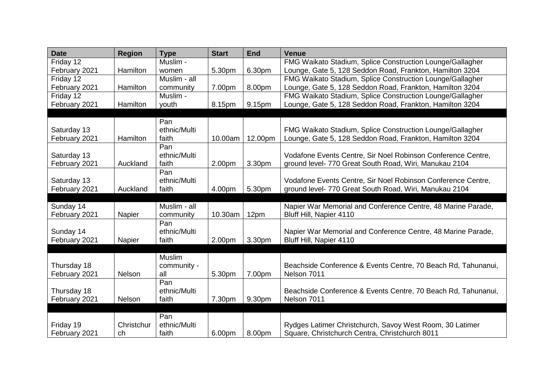| <b>Date</b>   | <b>Region</b> | <b>Type</b>  | <b>Start</b> | <b>End</b> | <b>Venue</b>                                                     |
|---------------|---------------|--------------|--------------|------------|------------------------------------------------------------------|
| Friday 12     |               | Muslim -     |              |            | FMG Waikato Stadium, Splice Construction Lounge/Gallagher        |
| February 2021 | Hamilton      | women        | 5.30pm       | 6.30pm     | Lounge, Gate 5, 128 Seddon Road, Frankton, Hamilton 3204         |
| Friday 12     |               | Muslim - all |              |            | FMG Waikato Stadium, Splice Construction Lounge/Gallagher        |
| February 2021 | Hamilton      | community    | 7.00pm       | 8.00pm     | Lounge, Gate 5, 128 Seddon Road, Frankton, Hamilton 3204         |
| Friday 12     |               | Muslim -     |              |            | FMG Waikato Stadium, Splice Construction Lounge/Gallagher        |
| February 2021 | Hamilton      | youth        | 8.15pm       | 9.15pm     | Lounge, Gate 5, 128 Seddon Road, Frankton, Hamilton 3204         |
|               |               |              |              |            |                                                                  |
|               |               | Pan          |              |            |                                                                  |
| Saturday 13   |               | ethnic/Multi |              |            | <b>FMG Waikato Stadium, Splice Construction Lounge/Gallagher</b> |
| February 2021 | Hamilton      | faith        | 10.00am      | 12.00pm    | Lounge, Gate 5, 128 Seddon Road, Frankton, Hamilton 3204         |
|               |               | Pan          |              |            |                                                                  |
| Saturday 13   |               | ethnic/Multi |              |            | Vodafone Events Centre, Sir Noel Robinson Conference Centre,     |
| February 2021 | Auckland      | faith        | 2.00pm       | 3.30pm     | ground level- 770 Great South Road, Wiri, Manukau 2104           |
|               |               | Pan          |              |            |                                                                  |
| Saturday 13   |               | ethnic/Multi |              |            | Vodafone Events Centre, Sir Noel Robinson Conference Centre,     |
| February 2021 | Auckland      | faith        | 4.00pm       | 5.30pm     | ground level- 770 Great South Road, Wiri, Manukau 2104           |
|               |               |              |              |            |                                                                  |
| Sunday 14     |               | Muslim - all |              |            | Napier War Memorial and Conference Centre, 48 Marine Parade,     |
| February 2021 | Napier        | community    | 10.30am      | 12pm       | Bluff Hill, Napier 4110                                          |
|               |               | Pan          |              |            |                                                                  |
| Sunday 14     |               | ethnic/Multi |              |            | Napier War Memorial and Conference Centre, 48 Marine Parade,     |
| February 2021 | Napier        | faith        | 2.00pm       | 3.30pm     | Bluff Hill, Napier 4110                                          |
|               |               |              |              |            |                                                                  |
|               |               | Muslim       |              |            |                                                                  |
| Thursday 18   |               | community -  |              |            | Beachside Conference & Events Centre, 70 Beach Rd, Tahunanui,    |
| February 2021 | Nelson        | all          | 5.30pm       | 7.00pm     | Nelson 7011                                                      |
|               |               | Pan          |              |            |                                                                  |
| Thursday 18   |               | ethnic/Multi |              |            | Beachside Conference & Events Centre, 70 Beach Rd, Tahunanui,    |
| February 2021 | Nelson        | faith        | 7.30pm       | 9.30pm     | Nelson 7011                                                      |
|               |               |              |              |            |                                                                  |
|               |               | Pan          |              |            |                                                                  |
| Friday 19     | Christchur    | ethnic/Multi |              |            | Rydges Latimer Christchurch, Savoy West Room, 30 Latimer         |
| February 2021 | ch            | faith        | 6.00pm       | 8.00pm     | Square, Christchurch Centra, Christchurch 8011                   |